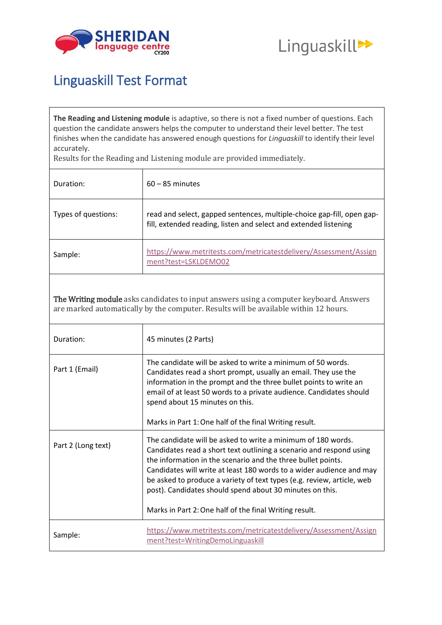



## Linguaskill Test Format

**The Reading and Listening module** is adaptive, so there is not a fixed number of questions. Each question the candidate answers helps the computer to understand their level better. The test finishes when the candidate has answered enough questions for *Linguaskill* to identify their level accurately.

Results for the Reading and Listening module are provided immediately.

| Duration:           | $60 - 85$ minutes                                                                                                                          |
|---------------------|--------------------------------------------------------------------------------------------------------------------------------------------|
| Types of questions: | read and select, gapped sentences, multiple-choice gap-fill, open gap-<br>fill, extended reading, listen and select and extended listening |
| Sample:             | https://www.metritests.com/metricatestdelivery/Assessment/Assign<br>ment?test=LSKLDEMO02                                                   |

The Writing module asks candidates to input answers using a computer keyboard. Answers are marked automatically by the computer. Results will be available within 12 hours.

| Duration:          | 45 minutes (2 Parts)                                                                                                                                                                                                                                                                                                                                                                                                                                                        |
|--------------------|-----------------------------------------------------------------------------------------------------------------------------------------------------------------------------------------------------------------------------------------------------------------------------------------------------------------------------------------------------------------------------------------------------------------------------------------------------------------------------|
| Part 1 (Email)     | The candidate will be asked to write a minimum of 50 words.<br>Candidates read a short prompt, usually an email. They use the<br>information in the prompt and the three bullet points to write an<br>email of at least 50 words to a private audience. Candidates should<br>spend about 15 minutes on this.                                                                                                                                                                |
|                    | Marks in Part 1: One half of the final Writing result.                                                                                                                                                                                                                                                                                                                                                                                                                      |
| Part 2 (Long text) | The candidate will be asked to write a minimum of 180 words.<br>Candidates read a short text outlining a scenario and respond using<br>the information in the scenario and the three bullet points.<br>Candidates will write at least 180 words to a wider audience and may<br>be asked to produce a variety of text types (e.g. review, article, web<br>post). Candidates should spend about 30 minutes on this.<br>Marks in Part 2: One half of the final Writing result. |
| Sample:            | https://www.metritests.com/metricatestdelivery/Assessment/Assign<br>ment?test=WritingDemoLinguaskill                                                                                                                                                                                                                                                                                                                                                                        |